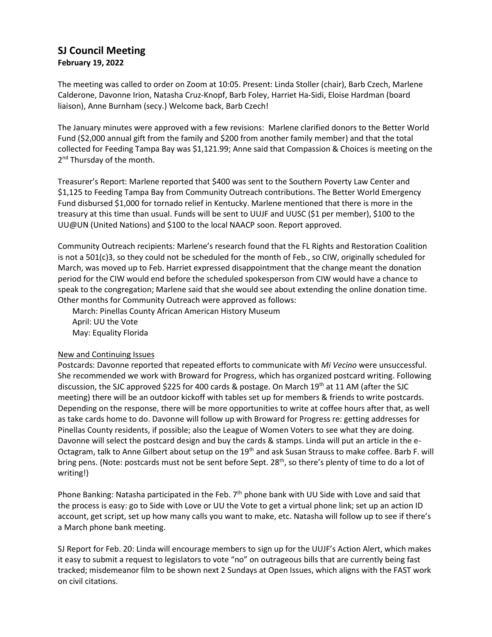## **SJ Council Meeting February 19, 2022**

The meeting was called to order on Zoom at 10:05. Present: Linda Stoller (chair), Barb Czech, Marlene Calderone, Davonne Irion, Natasha Cruz-Knopf, Barb Foley, Harriet Ha-Sidi, Eloise Hardman (board liaison), Anne Burnham (secy.) Welcome back, Barb Czech!

The January minutes were approved with a few revisions: Marlene clarified donors to the Better World Fund (\$2,000 annual gift from the family and \$200 from another family member) and that the total collected for Feeding Tampa Bay was \$1,121.99; Anne said that Compassion & Choices is meeting on the 2<sup>nd</sup> Thursday of the month.

Treasurer's Report: Marlene reported that \$400 was sent to the Southern Poverty Law Center and \$1,125 to Feeding Tampa Bay from Community Outreach contributions. The Better World Emergency Fund disbursed \$1,000 for tornado relief in Kentucky. Marlene mentioned that there is more in the treasury at this time than usual. Funds will be sent to UUJF and UUSC (\$1 per member), \$100 to the UU@UN (United Nations) and \$100 to the local NAACP soon. Report approved.

Community Outreach recipients: Marlene's research found that the FL Rights and Restoration Coalition is not a 501(c)3, so they could not be scheduled for the month of Feb., so CIW, originally scheduled for March, was moved up to Feb. Harriet expressed disappointment that the change meant the donation period for the CIW would end before the scheduled spokesperson from CIW would have a chance to speak to the congregation; Marlene said that she would see about extending the online donation time. Other months for Community Outreach were approved as follows:

March: Pinellas County African American History Museum April: UU the Vote May: Equality Florida

## New and Continuing Issues

Postcards: Davonne reported that repeated efforts to communicate with *Mi Vecino* were unsuccessful. She recommended we work with Broward for Progress, which has organized postcard writing. Following discussion, the SJC approved \$225 for 400 cards & postage. On March 19th at 11 AM (after the SJC meeting) there will be an outdoor kickoff with tables set up for members & friends to write postcards. Depending on the response, there will be more opportunities to write at coffee hours after that, as well as take cards home to do. Davonne will follow up with Broward for Progress re: getting addresses for Pinellas County residents, if possible; also the League of Women Voters to see what they are doing. Davonne will select the postcard design and buy the cards & stamps. Linda will put an article in the e-Octagram, talk to Anne Gilbert about setup on the 19<sup>th</sup> and ask Susan Strauss to make coffee. Barb F. will bring pens. (Note: postcards must not be sent before Sept. 28<sup>th</sup>, so there's plenty of time to do a lot of writing!)

Phone Banking: Natasha participated in the Feb.  $7<sup>th</sup>$  phone bank with UU Side with Love and said that the process is easy: go to Side with Love or UU the Vote to get a virtual phone link; set up an action ID account, get script, set up how many calls you want to make, etc. Natasha will follow up to see if there's a March phone bank meeting.

SJ Report for Feb. 20: Linda will encourage members to sign up for the UUJF's Action Alert, which makes it easy to submit a request to legislators to vote "no" on outrageous bills that are currently being fast tracked; misdemeanor film to be shown next 2 Sundays at Open Issues, which aligns with the FAST work on civil citations.